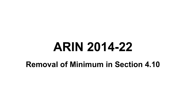# **ARIN 2014-22**

### **Removal of Minimum in Section 4.10**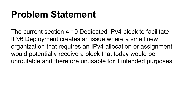### **Problem Statement**

The current section 4.10 Dedicated IPv4 block to facilitate IPv6 Deployment creates an issue where a small new organization that requires an IPv4 allocation or assignment would potentially receive a block that today would be unroutable and therefore unusable for it intended purposes.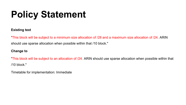# **Policy Statement**

#### **Existing text**

"This block will be subject to a minimum size allocation of /28 and a maximum size allocation of /24. ARIN should use sparse allocation when possible within that /10 block."

#### **Change to**

"This block will be subject to an allocation of /24. ARIN should use sparse allocation when possible within that /10 block."

Timetable for implementation: Immediate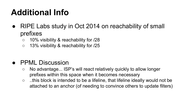### **Additional Info**

- RIPE Labs study in Oct 2014 on reachability of small prefixes
	- 10% visibility & reachability for /28
	- 13% visibility & reachability for /25

### ● PPML Discussion

- $\circ$  No advantage... ISP's will react relatively quickly to allow longer prefixes within this space when it becomes necessary
- ..this block is intended to be a lifeline, that lifeline ideally would not be attached to an anchor (of needing to convince others to update filters)